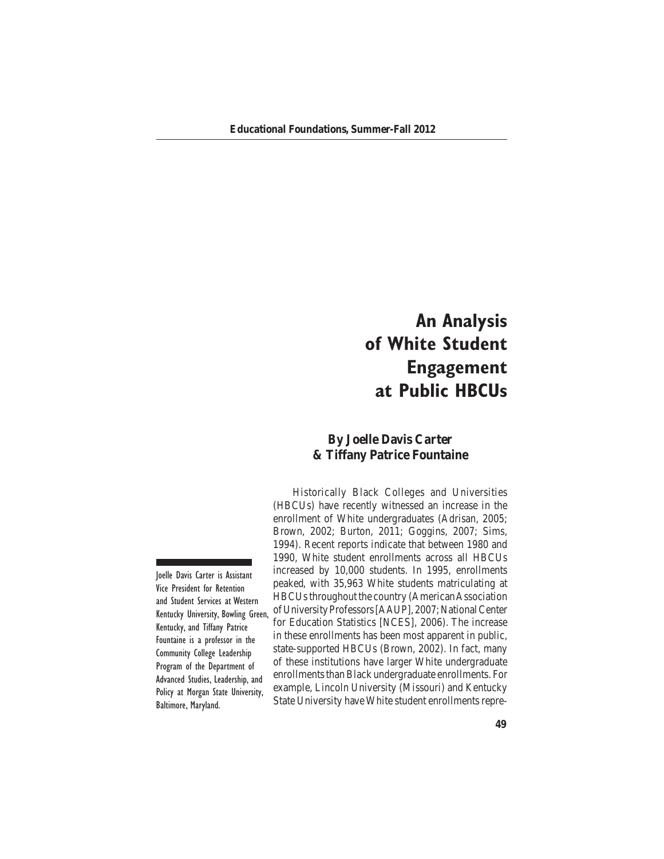# **An Analysis of White Student Engagement at Public HBCUs**

# **By Joelle Davis Carter & Tiffany Patrice Fountaine**

 Historically Black Colleges and Universities (HBCUs) have recently witnessed an increase in the enrollment of White undergraduates (Adrisan, 2005; Brown, 2002; Burton, 2011; Goggins, 2007; Sims, 1994). Recent reports indicate that between 1980 and 1990, White student enrollments across all HBCUs increased by 10,000 students. In 1995, enrollments peaked, with 35,963 White students matriculating at HBCUs throughout the country (American Association ofUniversityProfessors[AAUP],2007;NationalCenter for Education Statistics [NCES], 2006). The increase in these enrollments has been most apparent in public, state-supported HBCUs (Brown, 2002). In fact, many of these institutions have larger White undergraduate enrollments than Black undergraduate enrollments. For example, Lincoln University (Missouri) and Kentucky State University have White student enrollments repre-

Joelle Davis Carter is Assistant Vice President for Retention and Student Services at Western Kentucky University, Bowling Green, Kentucky, and Tiffany Patrice Fountaine is a professor in the Community College Leadership Program of the Department of Advanced Studies, Leadership, and Policy at Morgan State University, Baltimore, Maryland.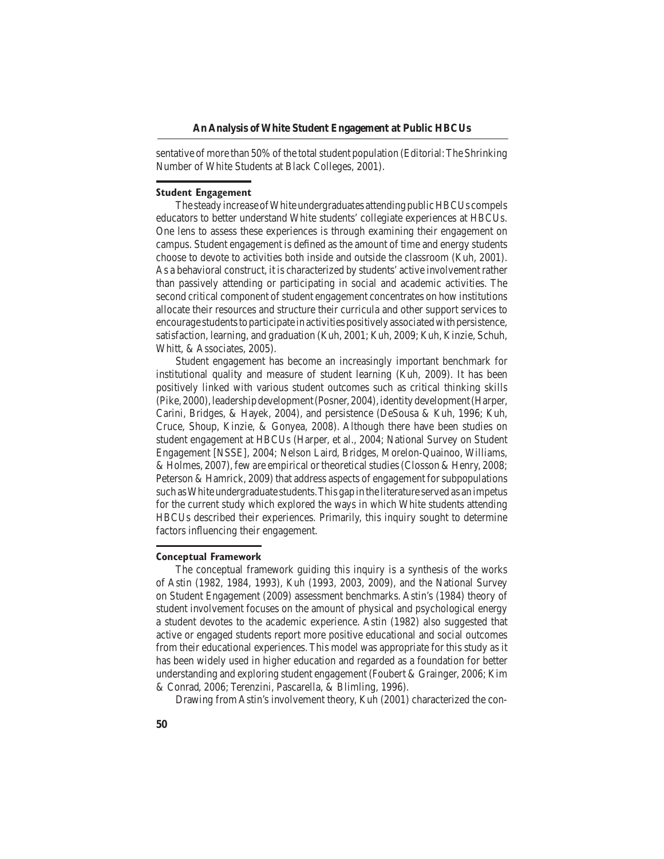sentative of more than 50% of the total student population (Editorial: The Shrinking Number of White Students at Black Colleges, 2001).

#### **Student Engagement**

The steady increase of White undergraduates attending public HBCUs compels educators to better understand White students' collegiate experiences at HBCUs. One lens to assess these experiences is through examining their engagement on campus. Student engagement is defined as the amount of time and energy students choose to devote to activities both inside and outside the classroom (Kuh, 2001). As a behavioral construct, it is characterized by students' active involvement rather than passively attending or participating in social and academic activities. The second critical component of student engagement concentrates on how institutions allocate their resources and structure their curricula and other support services to encourage students to participate in activities positively associated with persistence, satisfaction, learning, and graduation (Kuh, 2001; Kuh, 2009; Kuh, Kinzie, Schuh, Whitt, & Associates, 2005).

Student engagement has become an increasingly important benchmark for institutional quality and measure of student learning (Kuh, 2009). It has been positively linked with various student outcomes such as critical thinking skills (Pike,2000),leadershipdevelopment(Posner,2004),identitydevelopment(Harper, Carini, Bridges, & Hayek, 2004), and persistence (DeSousa & Kuh, 1996; Kuh, Cruce, Shoup, Kinzie, & Gonyea, 2008). Although there have been studies on student engagement at HBCUs (Harper, et al., 2004; National Survey on Student Engagement [NSSE], 2004; Nelson Laird, Bridges, Morelon-Quainoo, Williams, & Holmes, 2007), few are empirical or theoretical studies (Closson & Henry, 2008; Peterson & Hamrick,  $2009$ ) that address aspects of engagement for subpopulations such as White undergraduate students. This gap in the literature served as an impetus for the current study which explored the ways in which White students attending HBCUs described their experiences. Primarily, this inquiry sought to determine factors influencing their engagement.

#### **Conceptual Framework**

The conceptual framework guiding this inquiry is a synthesis of the works of Astin (1982, 1984, 1993), Kuh (1993, 2003, 2009), and the National Survey on Student Engagement (2009) assessment benchmarks. Astin's (1984) theory of student involvement focuses on the amount of physical and psychological energy a student devotes to the academic experience. Astin (1982) also suggested that active or engaged students report more positive educational and social outcomes from their educational experiences. This model was appropriate for this study as it has been widely used in higher education and regarded as a foundation for better understanding and exploring student engagement (Foubert & Grainger, 2006; Kim & Conrad, 2006; Terenzini, Pascarella, & Blimling, 1996).

Drawing from Astin's involvement theory, Kuh (2001) characterized the con-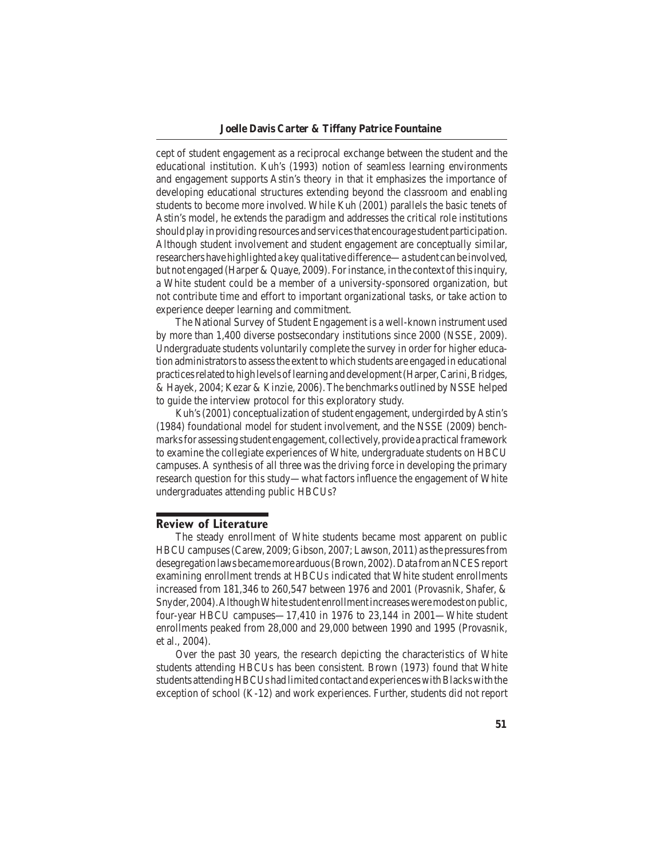cept of student engagement as a reciprocal exchange between the student and the educational institution. Kuh's (1993) notion of seamless learning environments and engagement supports Astin's theory in that it emphasizes the importance of developing educational structures extending beyond the classroom and enabling students to become more involved. While Kuh (2001) parallels the basic tenets of Astin's model, he extends the paradigm and addresses the critical role institutions should play in providing resources and services that encourage student participation. Although student involvement and student engagement are conceptually similar, researchers have highlighted a key qualitative difference—a student can be involved, but not engaged (Harper & Quaye, 2009). For instance, in the context of this inquiry, a White student could be a member of a university-sponsored organization, but not contribute time and effort to important organizational tasks, or take action to experience deeper learning and commitment.

The National Survey of Student Engagement is a well-known instrument used by more than 1,400 diverse postsecondary institutions since 2000 (NSSE, 2009). Undergraduate students voluntarily complete the survey in order for higher education administrators to assess the extent to which students are engaged in educational practices related to high levels of learning and development (Harper, Carini, Bridges, & Hayek, 2004; Kezar & Kinzie, 2006). The benchmarks outlined by NSSE helped to guide the interview protocol for this exploratory study.

Kuh's (2001) conceptualization of student engagement, undergirded by Astin's  $(1984)$  foundational model for student involvement, and the NSSE  $(2009)$  benchmarks for assessing student engagement, collectively, provide a practical framework to examine the collegiate experiences of White, undergraduate students on HBCU campuses. A synthesis of all three was the driving force in developing the primary research question for this study—what factors influence the engagement of White undergraduates attending public HBCUs?

#### **Review of Literature**

The steady enrollment of White students became most apparent on public HBCU campuses (Carew, 2009; Gibson, 2007; Lawson, 2011) as the pressures from desegregation laws became more arduous (Brown, 2002). Data from an NCES report examining enrollment trends at HBCUs indicated that White student enrollments increased from  $181,346$  to  $260,547$  between  $1976$  and  $2001$  (Provasnik, Shafer, & Snyder, 2004). Although White student enrollment increases were modest on public, four-year HBCU campuses—17,410 in 1976 to  $23,144$  in 2001—White student enrollments peaked from 28,000 and 29,000 between 1990 and 1995 (Provasnik, et al., 2004).

Over the past 30 years, the research depicting the characteristics of White students attending HBCUs has been consistent. Brown (1973) found that White students attending HBCUs had limited contact and experiences with Blacks with the exception of school (K-12) and work experiences. Further, students did not report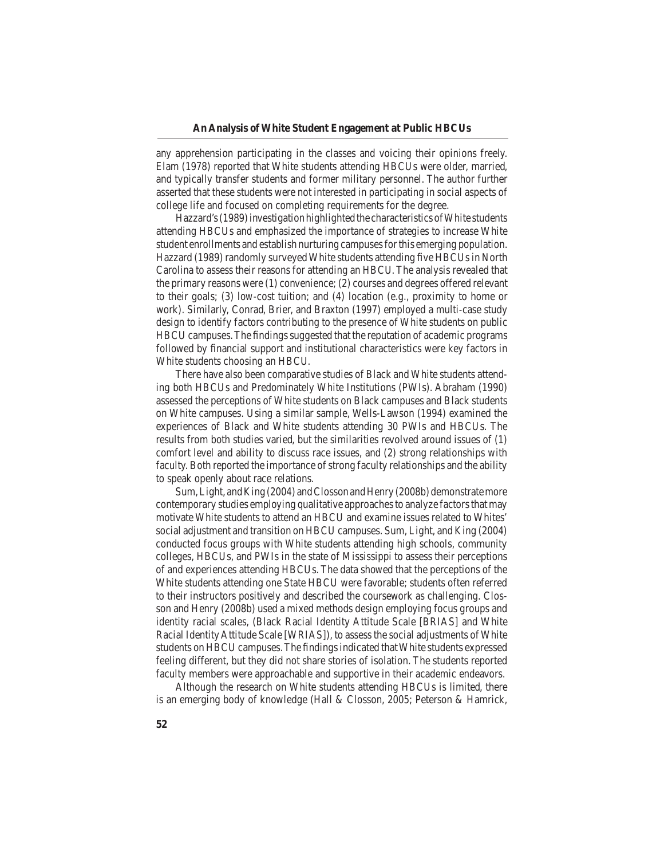any apprehension participating in the classes and voicing their opinions freely. Elam (1978) reported that White students attending HBCUs were older, married, and typically transfer students and former military personnel. The author further asserted that these students were not interested in participating in social aspects of college life and focused on completing requirements for the degree.

Hazzard's (1989) investigation highlighted the characteristics of White students attending HBCUs and emphasized the importance of strategies to increase White student enrollments and establish nurturing campuses for this emerging population. Hazzard (1989) randomly surveyed White students attending five HBCUs in North Carolina to assess their reasons for attending an HBCU. The analysis revealed that the primary reasons were  $(1)$  convenience;  $(2)$  courses and degrees offered relevant to their goals;  $(3)$  low-cost tuition; and  $(4)$  location  $(e.g.,$  proximity to home or work). Similarly, Conrad, Brier, and Braxton (1997) employed a multi-case study design to identify factors contributing to the presence of White students on public HBCU campuses. The findings suggested that the reputation of academic programs followed by financial support and institutional characteristics were key factors in White students choosing an HBCU.

There have also been comparative studies of Black and White students attending both HBCUs and Predominately White Institutions (PWIs). Abraham (1990) assessed the perceptions of White students on Black campuses and Black students on White campuses. Using a similar sample, Wells-Lawson (1994) examined the experiences of Black and White students attending 30 PWIs and HBCUs. The results from both studies varied, but the similarities revolved around issues of  $(1)$ comfort level and ability to discuss race issues, and (2) strong relationships with faculty. Both reported the importance of strong faculty relationships and the ability to speak openly about race relations.

Sum, Light, and King (2004) and Closson and Henry (2008b) demonstrate more contemporary studies employing qualitative approaches to analyze factors that may motivate White students to attend an HBCU and examine issues related to Whites' social adjustment and transition on HBCU campuses. Sum, Light, and King (2004) conducted focus groups with White students attending high schools, community colleges, HBCUs, and PWIs in the state of Mississippi to assess their perceptions of and experiences attending HBCUs. The data showed that the perceptions of the White students attending one State HBCU were favorable; students often referred to their instructors positively and described the coursework as challenging. Closson and Henry (2008b) used a mixed methods design employing focus groups and identity racial scales, (Black Racial Identity Attitude Scale [BRIAS] and White Racial Identity Attitude Scale [WRIAS]), to assess the social adjustments of White students on HBCU campuses. The findings indicated that White students expressed feeling different, but they did not share stories of isolation. The students reported faculty members were approachable and supportive in their academic endeavors.

Although the research on White students attending HBCUs is limited, there is an emerging body of knowledge (Hall  $&$  Closson, 2005; Peterson  $&$  Hamrick,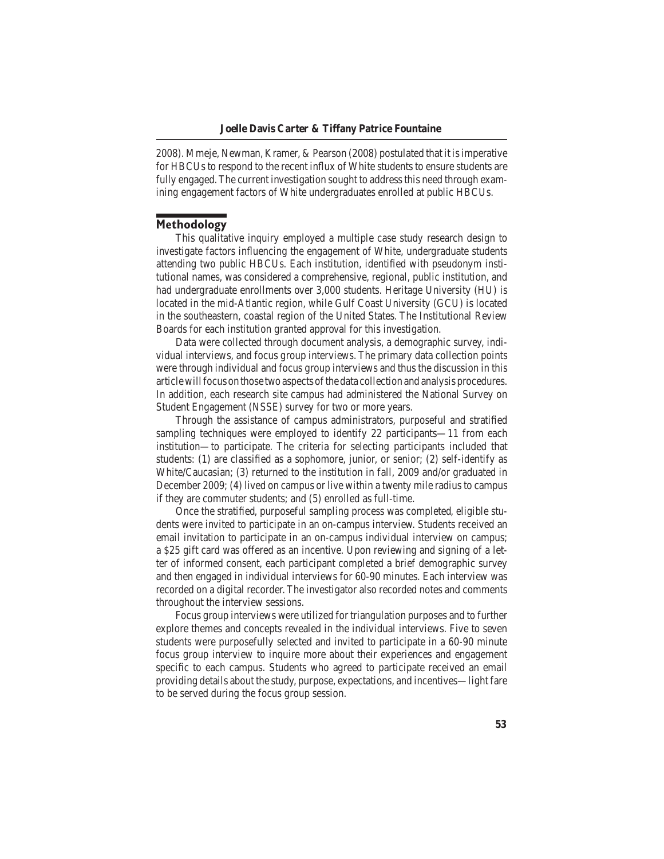2008). Mmeje, Newman, Kramer, & Pearson (2008) postulated that it is imperative for HBCUs to respond to the recent influx of White students to ensure students are fully engaged. The current investigation sought to address this need through examining engagement factors of White undergraduates enrolled at public HBCUs.

## **Methodology**

This qualitative inquiry employed a multiple case study research design to investigate factors influencing the engagement of White, undergraduate students attending two public HBCUs. Each institution, identified with pseudonym institutional names, was considered a comprehensive, regional, public institution, and had undergraduate enrollments over 3,000 students. Heritage University (HU) is located in the mid-Atlantic region, while Gulf Coast University (GCU) is located in the southeastern, coastal region of the United States. The Institutional Review Boards for each institution granted approval for this investigation.

Data were collected through document analysis, a demographic survey, individual interviews, and focus group interviews. The primary data collection points were through individual and focus group interviews and thus the discussion in this article will focus on those two aspects of the data collection and analysis procedures. In addition, each research site campus had administered the National Survey on Student Engagement (NSSE) survey for two or more years.

Through the assistance of campus administrators, purposeful and stratified sampling techniques were employed to identify 22 participants—11 from each institution—to participate. The criteria for selecting participants included that students:  $(1)$  are classified as a sophomore, junior, or senior;  $(2)$  self-identify as White/Caucasian;  $(3)$  returned to the institution in fall, 2009 and/or graduated in December 2009; (4) lived on campus or live within a twenty mile radius to campus if they are commuter students; and  $(5)$  enrolled as full-time.

Once the stratified, purposeful sampling process was completed, eligible students were invited to participate in an on-campus interview. Students received an email invitation to participate in an on-campus individual interview on campus; a \$25 gift card was offered as an incentive. Upon reviewing and signing of a letter of informed consent, each participant completed a brief demographic survey and then engaged in individual interviews for 60-90 minutes. Each interview was recorded on a digital recorder. The investigator also recorded notes and comments throughout the interview sessions.

Focus group interviews were utilized for triangulation purposes and to further explore themes and concepts revealed in the individual interviews. Five to seven students were purposefully selected and invited to participate in a 60-90 minute focus group interview to inquire more about their experiences and engagement specific to each campus. Students who agreed to participate received an email providing details about the study, purpose, expectations, and incentives—light fare to be served during the focus group session.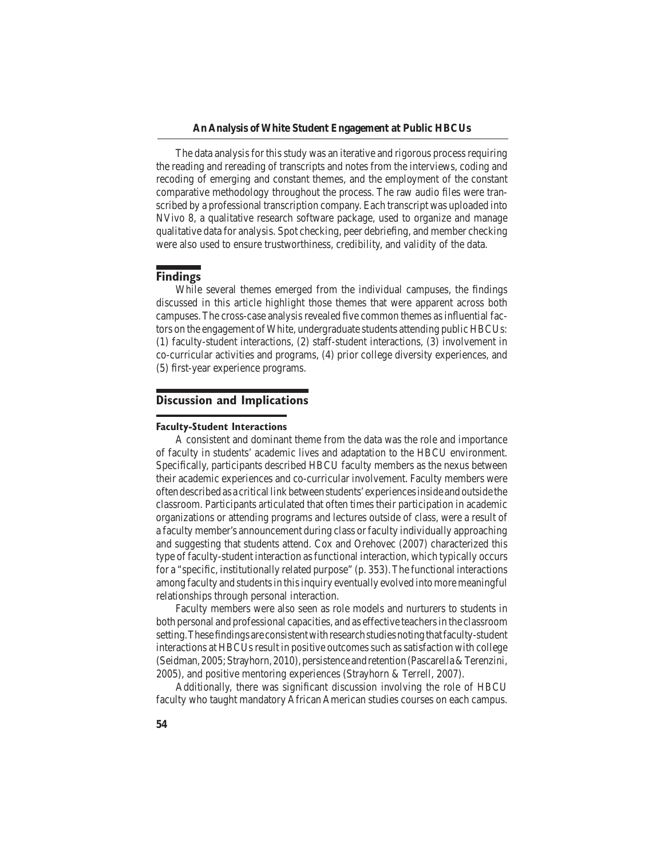The data analysis for this study was an iterative and rigorous process requiring the reading and rereading of transcripts and notes from the interviews, coding and recoding of emerging and constant themes, and the employment of the constant comparative methodology throughout the process. The raw audio files were transcribed by a professional transcription company. Each transcript was uploaded into NVivo 8, a qualitative research software package, used to organize and manage qualitative data for analysis. Spot checking, peer debriefing, and member checking were also used to ensure trustworthiness, credibility, and validity of the data.

## **Findings**

While several themes emerged from the individual campuses, the findings discussed in this article highlight those themes that were apparent across both campuses. The cross-case analysis revealed five common themes as influential factors on the engagement of White, undergraduate students attending public HBCUs:  $(1)$  faculty-student interactions,  $(2)$  staff-student interactions,  $(3)$  involvement in co-curricular activities and programs,  $(4)$  prior college diversity experiences, and (5) first-year experience programs. 

### **Discussion and Implications**

#### **Faculty-Student Interactions**

A consistent and dominant theme from the data was the role and importance of faculty in students' academic lives and adaptation to the HBCU environment. Specifically, participants described HBCU faculty members as the nexus between their academic experiences and co-curricular involvement. Faculty members were oftendescribedas a criticallinkbetweenstudents'experiencesinside andoutside the classroom. Participants articulated that often times their participation in academic organizations or attending programs and lectures outside of class, were a result of a faculty member's announcement during class or faculty individually approaching and suggesting that students attend. Cox and Orehovec  $(2007)$  characterized this type of faculty-student interaction as functional interaction, which typically occurs for a "specific, institutionally related purpose"  $(p. 353)$ . The functional interactions among faculty and students in this inquiry eventually evolved into more meaningful relationships through personal interaction.

Faculty members were also seen as role models and nurturers to students in both personal and professional capacities, and as effective teachers in the classroom setting. These findings are consistent with research studies noting that faculty-student interactions at HBCUs result in positive outcomes such as satisfaction with college (Seidman,2005;Strayhorn,2010),persistence andretention(Pascarella & Terenzini, 2005), and positive mentoring experiences (Strayhorn & Terrell, 2007).

Additionally, there was significant discussion involving the role of HBCU faculty who taught mandatory African American studies courses on each campus.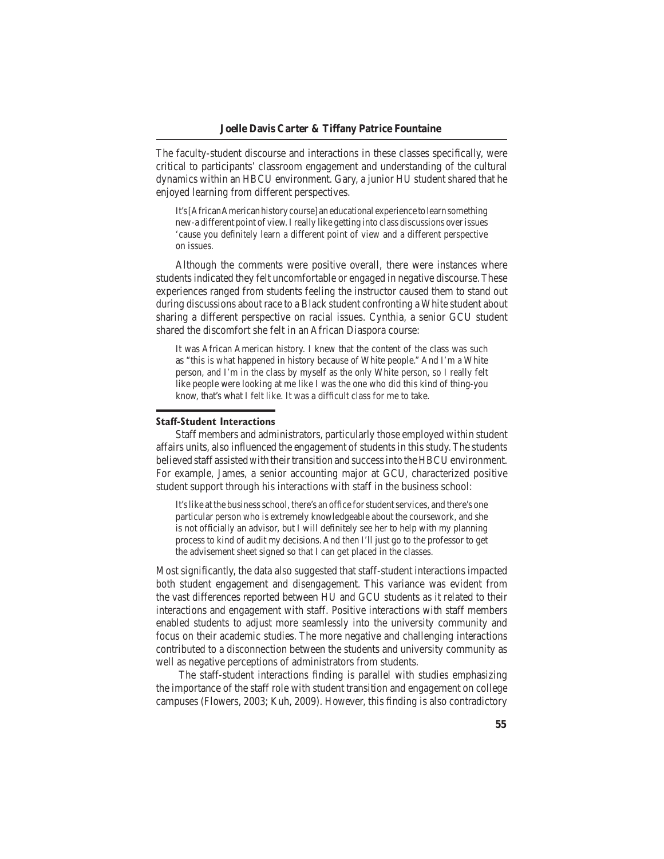The faculty-student discourse and interactions in these classes specifically, were critical to participants' classroom engagement and understanding of the cultural dynamics within an HBCU environment. Gary, a junior HU student shared that he enjoyed learning from different perspectives.

It's[AfricanAmericanhistorycourse] aneducational experience tolearnsomething new-a different point of view. I really like getting into class discussions over issues 'cause you definitely learn a different point of view and a different perspective on issues.

Although the comments were positive overall, there were instances where students indicated they felt uncomfortable or engaged in negative discourse. These experiences ranged from students feeling the instructor caused them to stand out during discussions about race to a Black student confronting a White student about sharing a different perspective on racial issues. Cynthia, a senior GCU student shared the discomfort she felt in an African Diaspora course:

It was African American history. I knew that the content of the class was such as "this is what happened in history because of White people." And I'm a White person, and I'm in the class by myself as the only White person, so I really felt like people were looking at me like I was the one who did this kind of thing-you know, that's what I felt like. It was a difficult class for me to take.

#### **Staff-Student Interactions**

Staff members and administrators, particularly those employed within student affairs units, also influenced the engagement of students in this study. The students believed staff assisted with their transition and success into the HBCU environment. For example, James, a senior accounting major at GCU, characterized positive student support through his interactions with staff in the business school:

It's like at the business school, there's an office for student services, and there's one particular person who is extremely knowledgeable about the coursework, and she is not officially an advisor, but I will definitely see her to help with my planning process to kind of audit my decisions. And then I'll just go to the professor to get the advisement sheet signed so that I can get placed in the classes.

Most significantly, the data also suggested that staff-student interactions impacted both student engagement and disengagement. This variance was evident from the vast differences reported between HU and GCU students as it related to their interactions and engagement with staff. Positive interactions with staff members enabled students to adjust more seamlessly into the university community and focus on their academic studies. The more negative and challenging interactions contributed to a disconnection between the students and university community as well as negative perceptions of administrators from students.

The staff-student interactions finding is parallel with studies emphasizing the importance of the staff role with student transition and engagement on college campuses (Flowers, 2003; Kuh, 2009). However, this finding is also contradictory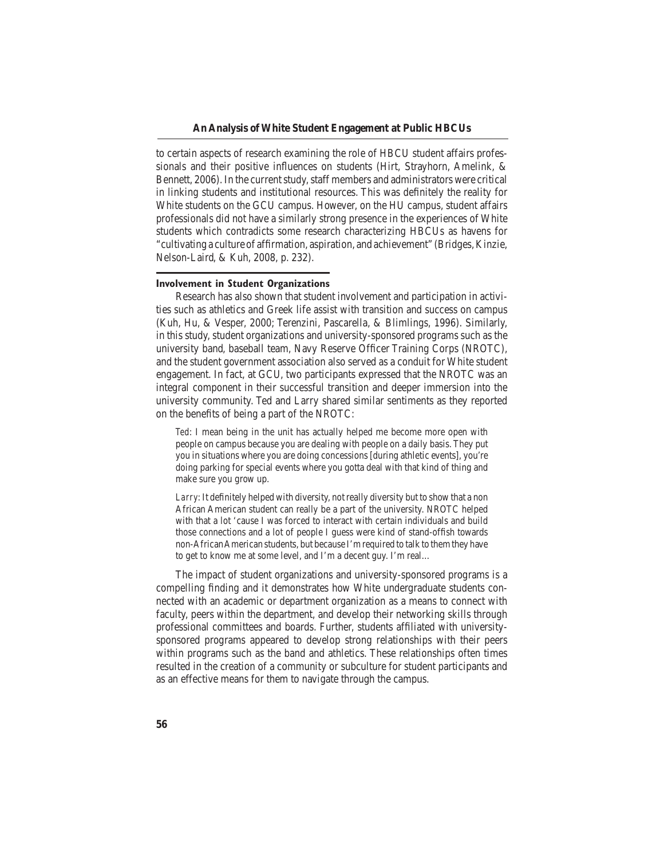to certain aspects of research examining the role of HBCU student affairs professionals and their positive influences on students (Hirt, Strayhorn, Amelink,  $\&$ Bennett, 2006). In the current study, staff members and administrators were critical in linking students and institutional resources. This was definitely the reality for White students on the GCU campus. However, on the HU campus, student affairs professionals did not have a similarly strong presence in the experiences of White students which contradicts some research characterizing HBCUs as havens for "cultivating a culture of affirmation, aspiration, and achievement" (Bridges, Kinzie, Nelson-Laird, & Kuh, 2008, p. 232).

#### **Involvement in Student Organizations**

Research has also shown that student involvement and participation in activities such as athletics and Greek life assist with transition and success on campus (Kuh, Hu, & Vesper, 2000; Terenzini, Pascarella, & Blimlings, 1996). Similarly, in this study, student organizations and university-sponsored programs such as the university band, baseball team, Navy Reserve Officer Training Corps (NROTC), and the student government association also served as a conduit for White student engagement. In fact, at GCU, two participants expressed that the NROTC was an integral component in their successful transition and deeper immersion into the university community. Ted and Larry shared similar sentiments as they reported on the benefits of being a part of the NROTC:

*Ted*: I mean being in the unit has actually helped me become more open with people on campus because you are dealing with people on a daily basis. They put you in situations where you are doing concessions [during athletic events], you're doing parking for special events where you gotta deal with that kind of thing and make sure you grow up.

*Larry*: It definitely helped with diversity, not really diversity but to show that a non African American student can really be a part of the university. NROTC helped with that a lot 'cause I was forced to interact with certain individuals and build those connections and a lot of people I guess were kind of stand-offish towards non-African American students, but because I'm required to talk to them they have to get to know me at some level, and I'm a decent guy. I'm real...

The impact of student organizations and university-sponsored programs is a compelling finding and it demonstrates how White undergraduate students connected with an academic or department organization as a means to connect with faculty, peers within the department, and develop their networking skills through professional committees and boards. Further, students affiliated with universitysponsored programs appeared to develop strong relationships with their peers within programs such as the band and athletics. These relationships often times resulted in the creation of a community or subculture for student participants and as an effective means for them to navigate through the campus.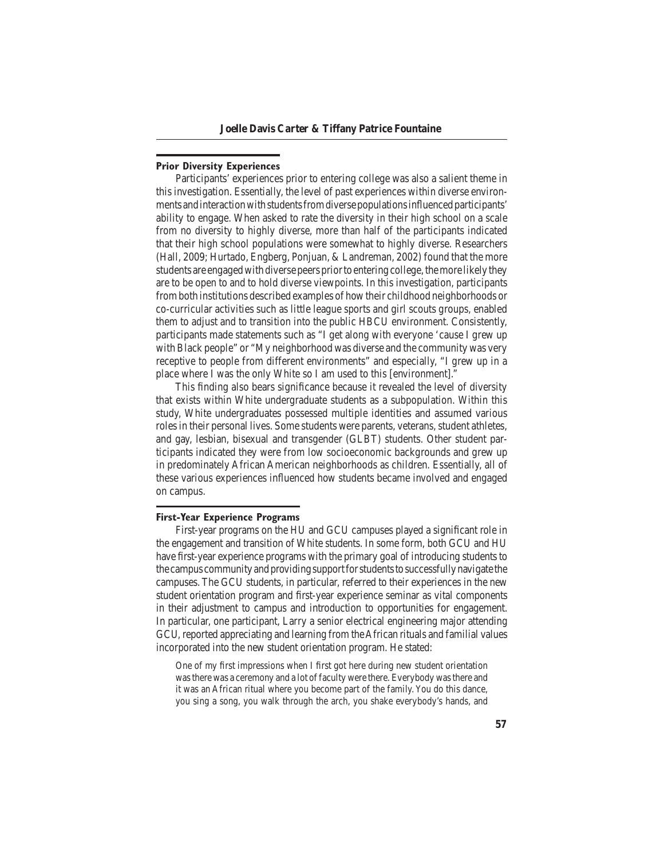#### **Prior Diversity Experiences**

Participants' experiences prior to entering college was also a salient theme in this investigation. Essentially, the level of past experiences within diverse environments and interaction with students from diverse populations influenced participants' ability to engage. When asked to rate the diversity in their high school on a scale from no diversity to highly diverse, more than half of the participants indicated that their high school populations were somewhat to highly diverse. Researchers (Hall, 2009; Hurtado, Engberg, Ponjuan,  $&$  Landreman, 2002) found that the more students are engaged with diverse peers prior to entering college, the more likely they are to be open to and to hold diverse viewpoints. In this investigation, participants from both institutions described examples of how their childhood neighborhoods or co-curricular activities such as little league sports and girl scouts groups, enabled them to adjust and to transition into the public HBCU environment. Consistently, participants made statements such as "I get along with everyone 'cause I grew up with Black people" or "My neighborhood was diverse and the community was very receptive to people from different environments" and especially, "I grew up in a place where I was the only White so I am used to this [environment]."

This finding also bears significance because it revealed the level of diversity that exists within White undergraduate students as a subpopulation. Within this study, White undergraduates possessed multiple identities and assumed various roles in their personal lives. Some students were parents, veterans, student athletes, and gay, lesbian, bisexual and transgender (GLBT) students. Other student participants indicated they were from low socioeconomic backgrounds and grew up in predominately African American neighborhoods as children. Essentially, all of these various experiences influenced how students became involved and engaged on campus.

#### **First-Year Experience Programs**

First-year programs on the HU and GCU campuses played a significant role in the engagement and transition of White students. In some form, both GCU and HU have first-year experience programs with the primary goal of introducing students to thecampuscommunityandprovidingsupportforstudentstosuccessfullynavigatethe campuses. The GCU students, in particular, referred to their experiences in the new student orientation program and first-year experience seminar as vital components in their adjustment to campus and introduction to opportunities for engagement. In particular, one participant, Larry a senior electrical engineering major attending GCU, reported appreciating and learning from theAfrican rituals and familial values incorporated into the new student orientation program. He stated:

One of my first impressions when I first got here during new student orientation was there was a ceremony and a lot of faculty were there. Everybody was there and it was an African ritual where you become part of the family. You do this dance, you sing a song, you walk through the arch, you shake everybody's hands, and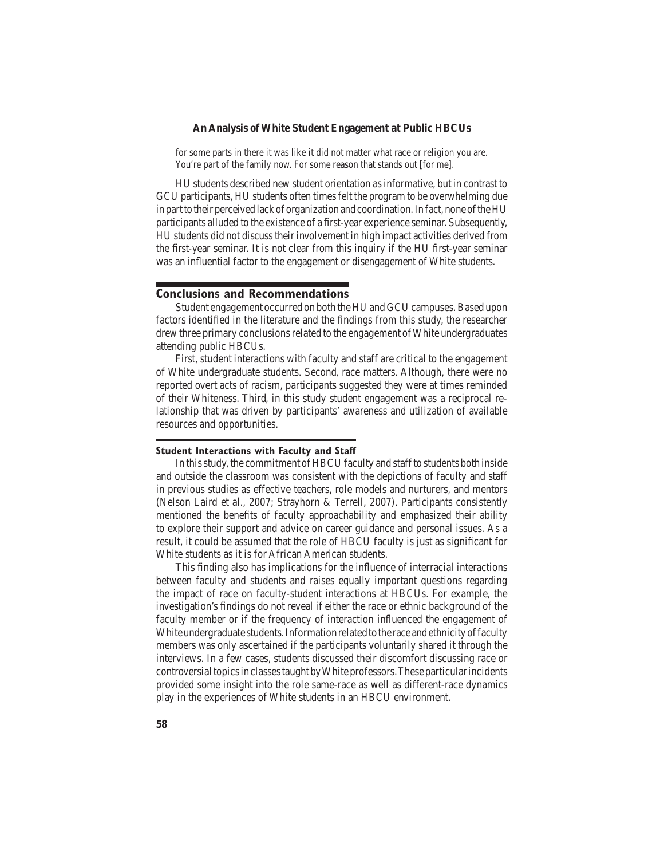for some parts in there it was like it did not matter what race or religion you are. You're part of the family now. For some reason that stands out [for me].

 HU students described new student orientation asinformative, but in contrast to GCU participants, HU students often times felt the program to be overwhelming due in part to their perceived lack of organization and coordination. In fact, none of the HU participants alluded to the existence of a first-year experience seminar. Subsequently, HU students did not discusstheir involvement in high impact activities derived from the first-year seminar. It is not clear from this inquiry if the HU first-year seminar was an influential factor to the engagement or disengagement of White students.

#### **Conclusions and Recommendations**

Student engagement occurred on both the HU and GCU campuses. Based upon factors identified in the literature and the findings from this study, the researcher drew three primary conclusions related to the engagement of White undergraduates attending public HBCUs.

First, student interactions with faculty and staff are critical to the engagement of White undergraduate students. Second, race matters. Although, there were no reported overt acts of racism, participants suggested they were at times reminded of their Whiteness. Third, in this study student engagement was a reciprocal relationship that was driven by participants' awareness and utilization of available resources and opportunities.

#### **Student Interactions with Faculty and Staff**

In this study, the commitment of HBCU faculty and staff to students both inside and outside the classroom was consistent with the depictions of faculty and staff in previous studies as effective teachers, role models and nurturers, and mentors (Nelson Laird et al., 2007; Strayhorn & Terrell, 2007). Participants consistently mentioned the benefits of faculty approachability and emphasized their ability to explore their support and advice on career guidance and personal issues. As a result, it could be assumed that the role of HBCU faculty is just as significant for White students as it is for African American students.

This finding also has implications for the influence of interracial interactions between faculty and students and raises equally important questions regarding the impact of race on faculty-student interactions at HBCUs. For example, the investigation's findings do not reveal if either the race or ethnic background of the faculty member or if the frequency of interaction influenced the engagement of White undergraduate students. Information related to the race and ethnicity of faculty members was only ascertained if the participants voluntarily shared it through the interviews. In a few cases, students discussed their discomfort discussing race or controversial topics in classes taught by White professors. These particular incidents provided some insight into the role same-race as well as different-race dynamics play in the experiences of White students in an HBCU environment.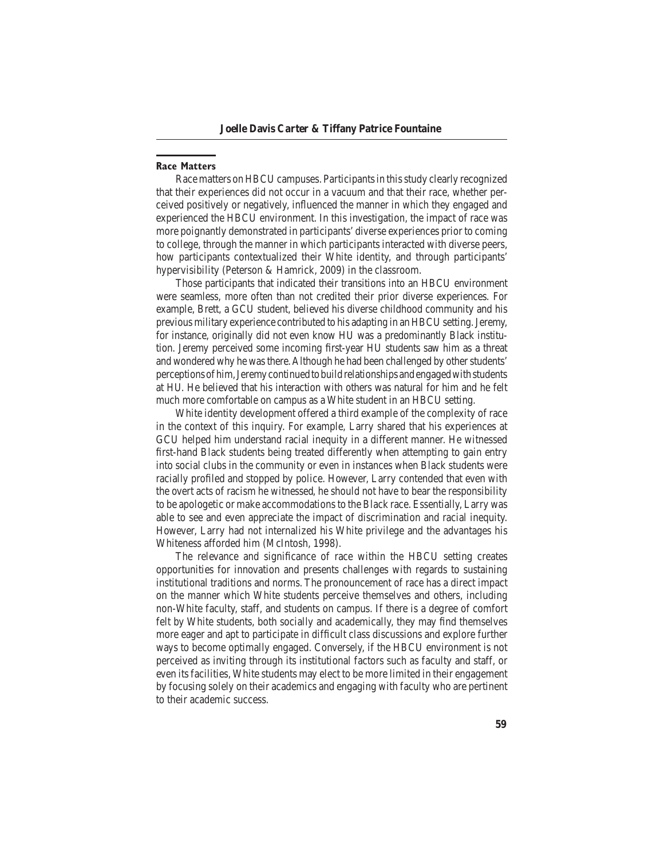#### **Race Matters**

Race matters on HBCU campuses. Participants in this study clearly recognized that their experiences did not occur in a vacuum and that their race, whether perceived positively or negatively, influenced the manner in which they engaged and experienced the HBCU environment. In this investigation, the impact of race was more poignantly demonstrated in participants' diverse experiences prior to coming to college, through the manner in which participants interacted with diverse peers, how participants contextualized their White identity, and through participants' hypervisibility (Peterson  $&$  Hamrick, 2009) in the classroom.

 Those participants that indicated their transitions into an HBCU environment were seamless, more often than not credited their prior diverse experiences. For example, Brett, a GCU student, believed his diverse childhood community and his previous military experience contributed to his adapting in an HBCU setting. Jeremy, for instance, originally did not even know HU was a predominantly Black institution. Jeremy perceived some incoming first-year HU students saw him as a threat and wondered why he was there. Although he had been challenged by other students' perceptionsofhim,Jeremycontinuedtobuildrelationshipsandengagedwithstudents at HU. He believed that his interaction with others was natural for him and he felt much more comfortable on campus as a White student in an HBCU setting.

White identity development offered a third example of the complexity of race in the context of this inquiry. For example, Larry shared that his experiences at GCU helped him understand racial inequity in a different manner. He witnessed first-hand Black students being treated differently when attempting to gain entry into social clubs in the community or even in instances when Black students were racially profiled and stopped by police. However, Larry contended that even with the overt acts of racism he witnessed, he should not have to bear the responsibility to be apologetic or make accommodations to the Black race. Essentially, Larry was able to see and even appreciate the impact of discrimination and racial inequity. However, Larry had not internalized his White privilege and the advantages his Whiteness afforded him (McIntosh, 1998).

The relevance and significance of race within the HBCU setting creates opportunities for innovation and presents challenges with regards to sustaining institutional traditions and norms. The pronouncement of race has a direct impact on the manner which White students perceive themselves and others, including non-White faculty, staff, and students on campus. If there is a degree of comfort felt by White students, both socially and academically, they may find themselves more eager and apt to participate in difficult class discussions and explore further ways to become optimally engaged. Conversely, if the HBCU environment is not perceived as inviting through its institutional factors such as faculty and staff, or even its facilities, White students may elect to be more limited in their engagement by focusing solely on their academics and engaging with faculty who are pertinent to their academic success.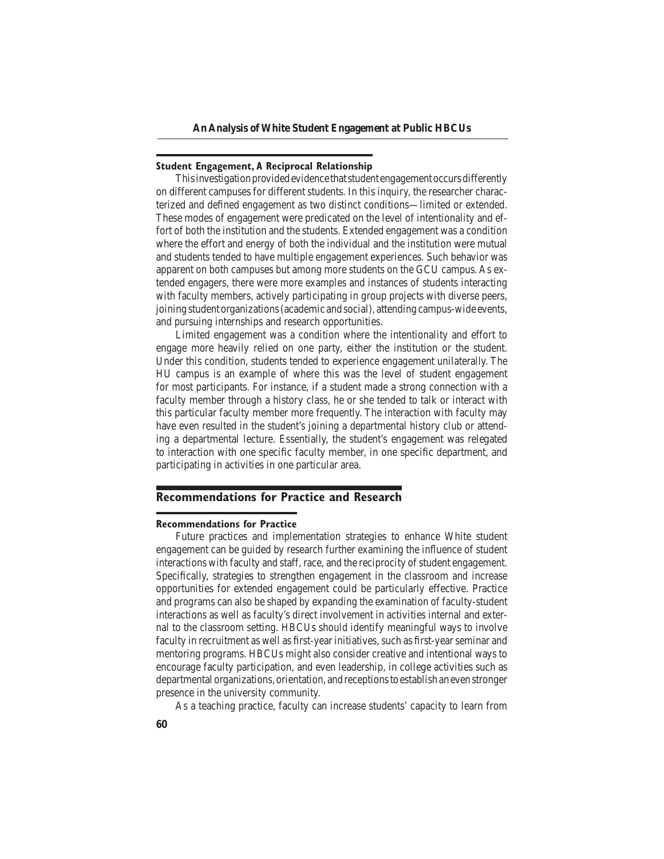#### **Student Engagement, A Reciprocal Relationship**

This investigation provided evidence that student engagement occurs differently on different campuses for different students. In this inquiry, the researcher characterized and defined engagement as two distinct conditions—limited or extended. These modes of engagement were predicated on the level of intentionality and effort of both the institution and the students. Extended engagement was a condition where the effort and energy of both the individual and the institution were mutual and students tended to have multiple engagement experiences. Such behavior was apparent on both campuses but among more students on the GCU campus. As extended engagers, there were more examples and instances of students interacting with faculty members, actively participating in group projects with diverse peers, joining student organizations (academic and social), attending campus-wide events, and pursuing internships and research opportunities.

Limited engagement was a condition where the intentionality and effort to engage more heavily relied on one party, either the institution or the student. Under this condition, students tended to experience engagement unilaterally. The HU campus is an example of where this was the level of student engagement for most participants. For instance, if a student made a strong connection with a faculty member through a history class, he or she tended to talk or interact with this particular faculty member more frequently. The interaction with faculty may have even resulted in the student's joining a departmental history club or attending a departmental lecture. Essentially, the student's engagement was relegated to interaction with one specific faculty member, in one specific department, and participating in activities in one particular area.

## **Recommendations for Practice and Research**

#### **Recommendations for Practice**

Future practices and implementation strategies to enhance White student engagement can be guided by research further examining the influence of student interactions with faculty and staff, race, and the reciprocity of student engagement. Specifically, strategies to strengthen engagement in the classroom and increase opportunities for extended engagement could be particularly effective. Practice and programs can also be shaped by expanding the examination of faculty-student interactions as well as faculty's direct involvement in activities internal and external to the classroom setting. HBCUs should identify meaningful ways to involve faculty in recruitment as well as first-year initiatives, such as first-year seminar and mentoring programs. HBCUs might also consider creative and intentional ways to encourage faculty participation, and even leadership, in college activities such as departmental organizations, orientation, andreceptionstoestablish aneven stronger presence in the university community.

As a teaching practice, faculty can increase students' capacity to learn from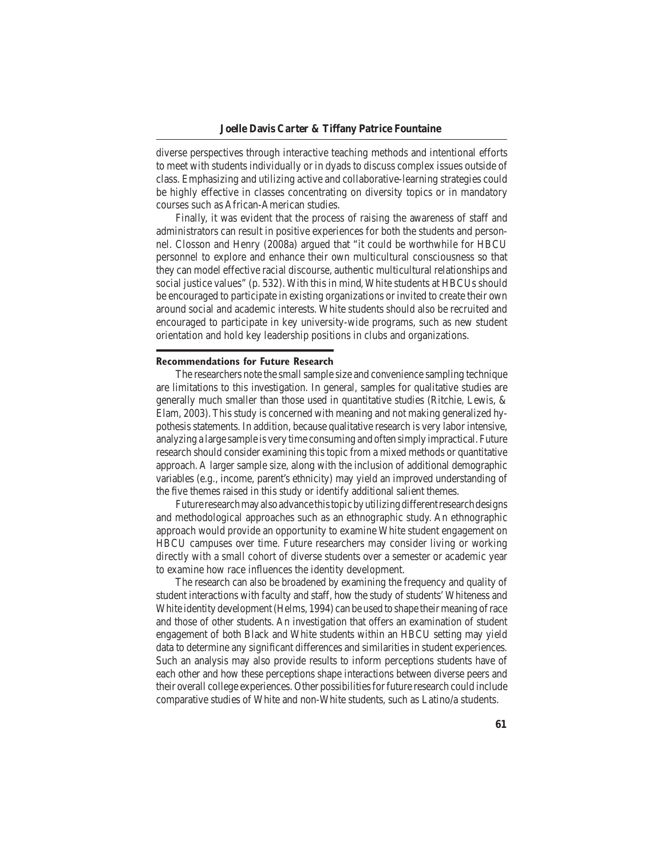diverse perspectives through interactive teaching methods and intentional efforts to meet with students individually or in dyads to discuss complex issues outside of class. Emphasizing and utilizing active and collaborative-learning strategies could be highly effective in classes concentrating on diversity topics or in mandatory courses such as African-American studies.

Finally, it was evident that the process of raising the awareness of staff and administrators can result in positive experiences for both the students and personnel. Closson and Henry (2008a) argued that "it could be worthwhile for HBCU personnel to explore and enhance their own multicultural consciousness so that they can model effective racial discourse, authentic multicultural relationships and social justice values" (p. 532). With this in mind, White students at HBCUs should be encouraged to participate in existing organizations or invited to create their own around social and academic interests. White students should also be recruited and encouraged to participate in key university-wide programs, such as new student orientation and hold key leadership positions in clubs and organizations.

#### **Recommendations for Future Research**

 The researchers note the smallsample size and convenience sampling technique are limitations to this investigation. In general, samples for qualitative studies are generally much smaller than those used in quantitative studies (Ritchie, Lewis,  $\&$ Elam, 2003). This study is concerned with meaning and not making generalized hypothesis statements. In addition, because qualitative research is very labor intensive, analyzing a large sample is very time consuming and often simply impractical. Future research should consider examining this topic from a mixed methods or quantitative approach. A larger sample size, along with the inclusion of additional demographic variables (e.g., income, parent's ethnicity) may yield an improved understanding of the five themes raised in this study or identify additional salient themes.

Future research may also advance this topic by utilizing different research designs and methodological approaches such as an ethnographic study. An ethnographic approach would provide an opportunity to examine White student engagement on HBCU campuses over time. Future researchers may consider living or working directly with a small cohort of diverse students over a semester or academic year to examine how race influences the identity development.

 The research can also be broadened by examining the frequency and quality of student interactions with faculty and staff, how the study of students'Whiteness and White identity development (Helms, 1994) can be used to shape their meaning of race and those of other students. An investigation that offers an examination of student engagement of both Black and White students within an HBCU setting may yield data to determine any significant differences and similarities in student experiences. Such an analysis may also provide results to inform perceptions students have of each other and how these perceptions shape interactions between diverse peers and their overall college experiences. Other possibilitiesforfuture research could include comparative studies of White and non-White students, such as Latino/a students.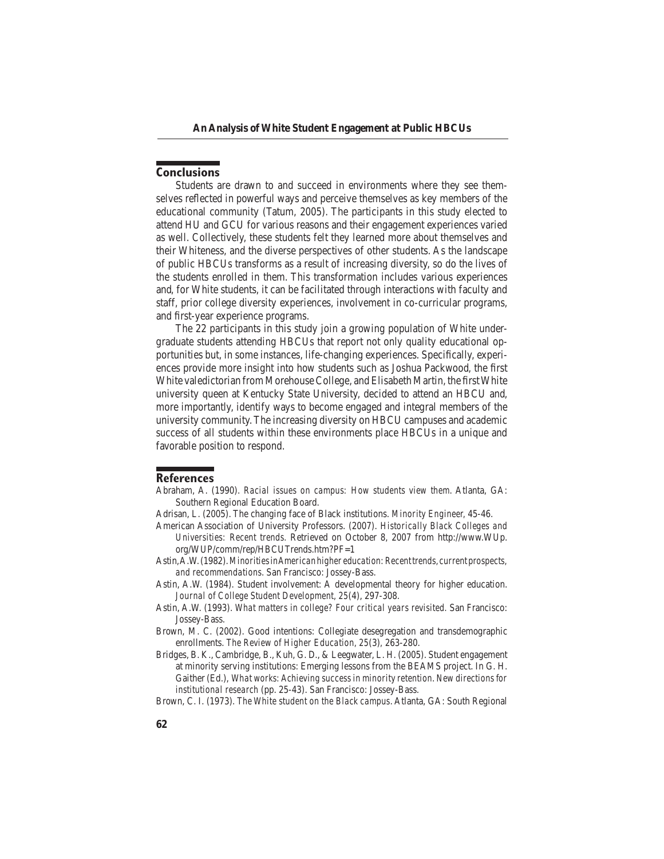## **Conclusions**

Students are drawn to and succeed in environments where they see themselves reflected in powerful ways and perceive themselves as key members of the educational community (Tatum, 2005). The participants in this study elected to attend HU and GCU for various reasons and their engagement experiences varied as well. Collectively, these students felt they learned more about themselves and their Whiteness, and the diverse perspectives of other students. As the landscape of public HBCUs transforms as a result of increasing diversity, so do the lives of the students enrolled in them. This transformation includes various experiences and, for White students, it can be facilitated through interactions with faculty and staff, prior college diversity experiences, involvement in co-curricular programs, and first-year experience programs.

The 22 participants in this study join a growing population of White undergraduate students attending HBCUs that report not only quality educational opportunities but, in some instances, life-changing experiences. Specifically, experiences provide more insight into how students such as Joshua Packwood, the first White valedictorian from Morehouse College, and Elisabeth Martin, the first White university queen at Kentucky State University, decided to attend an HBCU and, more importantly, identify ways to become engaged and integral members of the university community. The increasing diversity on HBCU campuses and academic success of all students within these environments place HBCUs in a unique and favorable position to respond.

#### **References**

- Abraham, A. (1990). *Racial issues on campus: How students view them.* Atlanta, GA: Southern Regional Education Board.
- Adrisan, L. (2005). The changing face of Black institutions. *Minority Engineer*, 45-46.
- American Association of University Professors. (2007). *Historically Black Colleges and Universities: Recent trends.* Retrieved on October 8, 2007 from http://www.WUp. org/WUP/comm/rep/HBCUTrends.htm?PF=1
- Astin,A.W.(1982).*Minorities in American higher education: Recent trends, current prospects, and recommendations*. San Francisco: Jossey-Bass.
- Astin, A.W. (1984). Student involvement: A developmental theory for higher education. Journal of College Student Development, 25(4), 297-308.
- Astin, A.W. (1993). What matters in college? Four critical years revisited. San Francisco: Jossey-Bass.
- Brown, M. C. (2002). Good intentions: Collegiate desegregation and transdemographic enrollments. The Review of Higher Education, 25(3), 263-280.
- Bridges, B. K., Cambridge, B., Kuh, G. D., & Leegwater, L. H. (2005). Student engagement at minority serving institutions: Emerging lessons from the BEAMS project. In G. H. Gaither (Ed.), *What works: Achieving success in minority retention. New directions for institutional research* (pp. 25-43). San Francisco: Jossey-Bass.
- Brown, C. I. (1973). *The White student on the Black campus*. Atlanta, GA: South Regional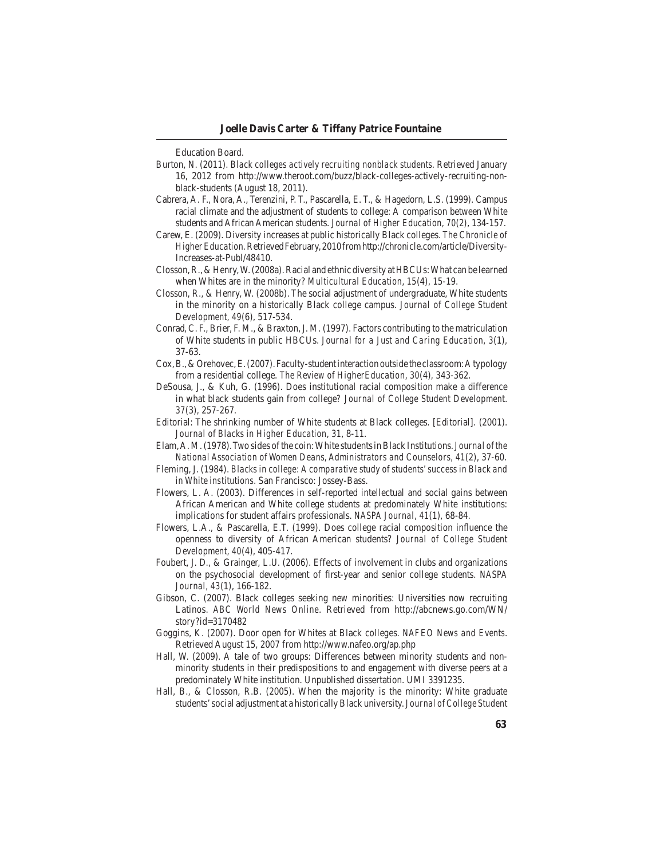Education Board.

- Burton, N. (2011). *Black colleges actively recruiting nonblack students*. Retrieved January 16, 2012 from http://www.theroot.com/buzz/black-colleges-actively-recruiting-nonblack-students (August 18, 2011).
- Cabrera, A. F., Nora, A., Terenzini, P. T., Pascarella, E. T., & Hagedorn, L.S. (1999). Campus racial climate and the adjustment of students to college: A comparison between White students and African American students. *Journal of Higher Education, 70*(2), 134-157.
- Carew, E. (2009). Diversity increases at public historically Black colleges. *The Chronicle of Higher Education.*RetrievedFebruary,2010fromhttp://chronicle.com/article/Diversity-Increases-at-Publ/48410.
- Closson, R., & Henry, W. (2008a). Racial and ethnic diversity at HBCUs: What can be learned when Whites are in the minority? *Multicultural Education*, 15(4), 15-19.
- Closson, R., & Henry, W. (2008b). The social adjustment of undergraduate, White students in the minority on a historically Black college campus. *Journal of College Student Development, 49*(6), 517-534.
- Conrad, C. F., Brier, F. M., & Braxton, J. M. (1997). Factors contributing to the matriculation of White students in public HBCUs. *Journal for a Just and Caring Education*, 3(1), 37-63.
- Cox, B., & Orehovec, E. (2007). Faculty-student interaction outside the classroom: A typology from a residential college. The Review of HigherEducation, 30(4), 343-362.
- DeSousa, J., & Kuh, G. (1996). Does institutional racial composition make a difference in what black students gain from college? Journal of College Student Development. *37*(3)*,* 257-267*.*
- Editorial: The shrinking number of White students at Black colleges. [Editorial]. (2001). *Journal of Blacks in Higher Education, 31, 8-11.*
- Elam, A. M. (1978). Two sides of the coin: White students in Black Institutions. *Journal of the National Association of Women Deans, Administrators and Counselors, 41(2), 37-60.*
- Fleming, J. (1984). *Blacks in college: A comparative study of students' success in Black and in White institutions*. San Francisco: Jossey-Bass.
- Flowers, L. A. (2003). Differences in self-reported intellectual and social gains between African American and White college students at predominately White institutions: implications for student affairs professionals. *NASPA Journal, 41*(1), 68-84.
- Flowers, L.A., & Pascarella, E.T. (1999). Does college racial composition influence the openness to diversity of African American students? *Journal of College Student Development, 40*(4), 405-417.
- Foubert, J. D.,  $\&$  Grainger, L.U. (2006). Effects of involvement in clubs and organizations on the psychosocial development of first-year and senior college students. *NASPA Journal, 43*(1), 166-182.
- Gibson, C. (2007). Black colleges seeking new minorities: Universities now recruiting Latinos. *ABC World News Online*. Retrieved from http://abcnews.go.com/WN/ story?id=3170482
- Goggins, K. (2007). Door open for Whites at Black colleges. *NAFEO News and Events*. Retrieved August 15, 2007 from http://www.nafeo.org/ap.php
- Hall, W. (2009). A tale of two groups: Differences between minority students and nonminority students in their predispositions to and engagement with diverse peers at a predominately White institution. Unpublished dissertation. UMI 3391235.
- Hall, B., & Closson, R.B. (2005). When the majority is the minority: White graduate students' social adjustment at a historically Black university. *Journal of College Student*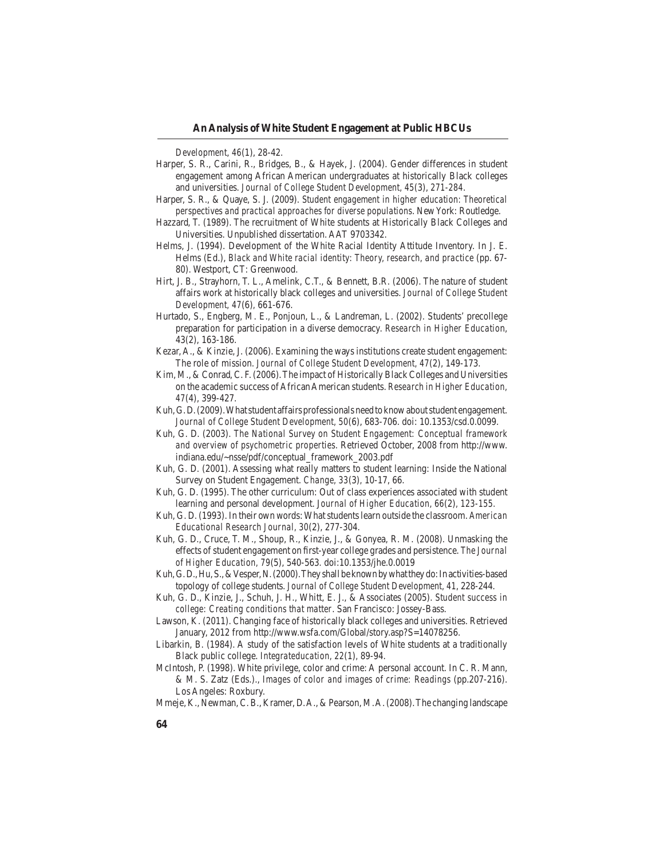*Development*, *46*(1), 28-42.

- Harper, S. R., Carini, R., Bridges, B., & Hayek, J. (2004). Gender differences in student engagement among African American undergraduates at historically Black colleges and universities. *Journal of College Student Development, 45*(3), 271-284.
- Harper, S. R., & Quaye, S. J. (2009). *Student engagement in higher education: Theoretical perspectives and practical approaches for diverse populations*. NewYork: Routledge.
- Hazzard, T. (1989). The recruitment of White students at Historically Black Colleges and Universities. Unpublished dissertation. AAT 9703342.
- Helms, J. (1994). Development of the White Racial Identity Attitude Inventory. In J. E. Helms (Ed.), *Black and White racial identity: Theory, research, and practice* (pp. 67-80). Westport, CT: Greenwood.
- Hirt, J. B., Strayhorn, T. L., Amelink, C.T., & Bennett, B.R. (2006). The nature of student affairs work at historically black colleges and universities. *Journal of College Student Development, 47*(6)*,* 661-676.
- Hurtado, S., Engberg, M. E., Ponjoun, L., & Landreman, L. (2002). Students' precollege preparation for participation in a diverse democracy. *Research in Higher Education*, 43(2), 163-186.
- Kezar, A., & Kinzie, J. (2006). Examining the ways institutions create student engagement: The role of mission. *Journal of College Student Development, 47(2)*, 149-173.
- Kim, M., & Conrad, C. F. (2006). The impact of Historically Black Colleges and Universities on the academic success of African American students. *Research in Higher Education*, *47*(4), 399-427.
- Kuh, G.D. (2009). What student affairs professionals need to know about student engagement. *Journal of College Student Development, 50*(6), 683-706. doi: 10.1353/csd.0.0099.
- Kuh, G. D. (2003). *The National Survey on Student Engagement: Conceptual framework and overview of psychometric properties*. Retrieved October, 2008 from http://www. indiana.edu/~nsse/pdf/conceptual\_framework\_2003.pdf
- Kuh, G. D. (2001). Assessing what really matters to student learning: Inside the National Survey on Student Engagement. *Change*, 33(3), 10-17, 66.
- Kuh, G. D. (1995). The other curriculum: Out of class experiences associated with student learning and personal development. Journal of Higher Education, 66(2), 123-155.
- Kuh, G. D. (1993). In their own words: What students learn outside the classroom. *American Educational Research Journal, 30*(2), 277-304.
- Kuh, G. D., Cruce, T. M., Shoup, R., Kinzie, J., & Gonyea, R. M. (2008). Unmasking the effects of student engagement on first-year college grades and persistence. *The Journal of Higher Education, 79(5), 540-563.* doi:10.1353/jhe.0.0019
- Kuh, G.D., Hu, S., & Vesper, N. (2000). They shall be known by what they do: In activities-based topology of college students. *Journal of College Student Development*, 41, 228-244.
- Kuh, G. D., Kinzie, J., Schuh, J. H., Whitt, E. J., & Associates (2005). *Student success in college: Creating conditions that matter.* San Francisco: Jossey-Bass.
- Lawson, K. (2011). Changing face of historically black colleges and universities. Retrieved January, 2012 from http://www.wsfa.com/Global/story.asp?S=14078256.
- Libarkin, B. (1984). A study of the satisfaction levels of White students at a traditionally Black public college. *Integrateducation*, 22(1), 89-94.
- McIntosh, P. (1998). White privilege, color and crime: A personal account. In C. R. Mann, & M. S. Zatz (Eds.)., *Images of color and images of crime: Readings* (pp.207-216). Los Angeles: Roxbury.
- Mmeje, K., Newman, C. B., Kramer, D. A., & Pearson, M. A. (2008). The changing landscape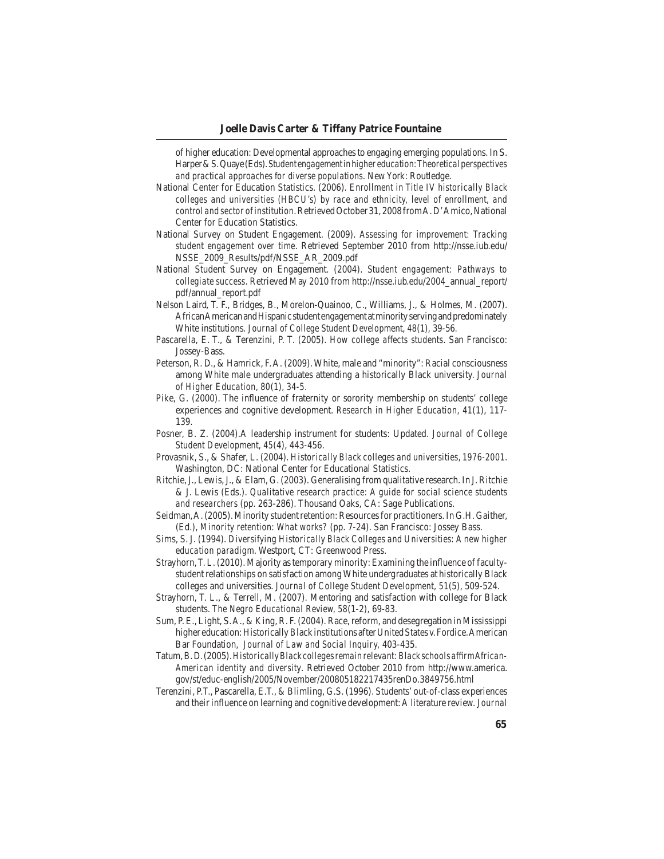of higher education: Developmental approaches to engaging emerging populations. In S. Harper & S. Quaye (Eds). Student engagement in higher education: Theoretical perspectives *and practical approaches for diverse populations*. NewYork: Routledge.

- National Center for Education Statistics. (2006). *Enrollment in Title IV historically Black colleges and universities (HBCU's) by race and ethnicity, level of enrollment, and control and sector of institution*. Retrieved October 31, 2008 from A. D'Amico, National Center for Education Statistics.
- National Survey on Student Engagement. (2009). *Assessing for improvement: Tracking student engagement over time*. Retrieved September 2010 from http://nsse.iub.edu/ NSSE\_2009\_Results/pdf/NSSE\_AR\_2009.pdf
- National Student Survey on Engagement. (2004). *Student engagement: Pathways to collegiate success*. Retrieved May 2010 from http://nsse.iub.edu/2004\_annual\_report/ pdf/annual\_report.pdf
- Nelson Laird, T. F., Bridges, B., Morelon-Quainoo, C., Williams, J., & Holmes, M. (2007). African American and Hispanic student engagement at minority serving and predominately White institutions. *Journal of College Student Developme*nt, *48*(1), 39-56.
- Pascarella, E. T., & Terenzini, P. T. (2005). *How college affects students*. San Francisco: Jossey-Bass.
- Peterson, R. D., & Hamrick, F. A. (2009). White, male and "minority": Racial consciousness among White male undergraduates attending a historically Black university. *Journal of Higher Education, 80*(1)*, 34-5.*
- Pike, G. (2000). The influence of fraternity or sorority membership on students' college experiences and cognitive development. *Research in Higher Education, 41*(1), 117-139.
- Posner, B. Z. (2004).A leadership instrument for students: Updated. *Journal of College Student Development, 45(4), 443-456.*
- Provasnik, S., & Shafer, L. (2004). *Historically Black colleges and universities, 1976-2001*. Washington, DC: National Center for Educational Statistics.
- Ritchie, J., Lewis, J., & Elam, G. (2003). Generalising from qualitative research. In J. Ritchie & J. Lewis (Eds.). *Qualitative research practice: A guide for social science students and researchers* (pp. 263-286). Thousand Oaks, CA: Sage Publications.
- Seidman, A. (2005). Minority student retention: Resources for practitioners. In G.H. Gaither, (Ed.), *Minority retention: What works?* (pp. 7-24). San Francisco: Jossey Bass.
- Sims, S. J. (1994). *Diversifying Historically Black Colleges and Universities: A new higher education paradigm*. Westport, CT: Greenwood Press.
- Strayhorn, T. L.  $(2010)$ . Majority as temporary minority: Examining the influence of facultystudent relationships on satisfaction among White undergraduates at historically Black colleges and universities. *Journal of College Student Development, 51*(5), 509-524.
- Strayhorn, T. L., & Terrell, M. (2007). Mentoring and satisfaction with college for Black students. The Negro Educational Review, 58(1-2), 69-83.
- Sum, P. E., Light, S. A., & King, R. F. (2004). Race, reform, and desegregation in Mississippi higher education: Historically Black institutions after United States v. Fordice. American Bar Foundation, *Journal of Law and Social Inquiry, 403-435*.
- Tatum,B.D.(2005).*Historically Black colleges remain relevant: Black schools affirm African-American identity and diversity*. Retrieved October 2010 from http://www.america. gov/st/educ-english/2005/November/200805182217435renDo.3849756.html
- Terenzini, P.T., Pascarella, E.T., & Blimling, G.S. (1996). Students' out-of-class experiences and their influence on learning and cognitive development: A literature review. *Journal*